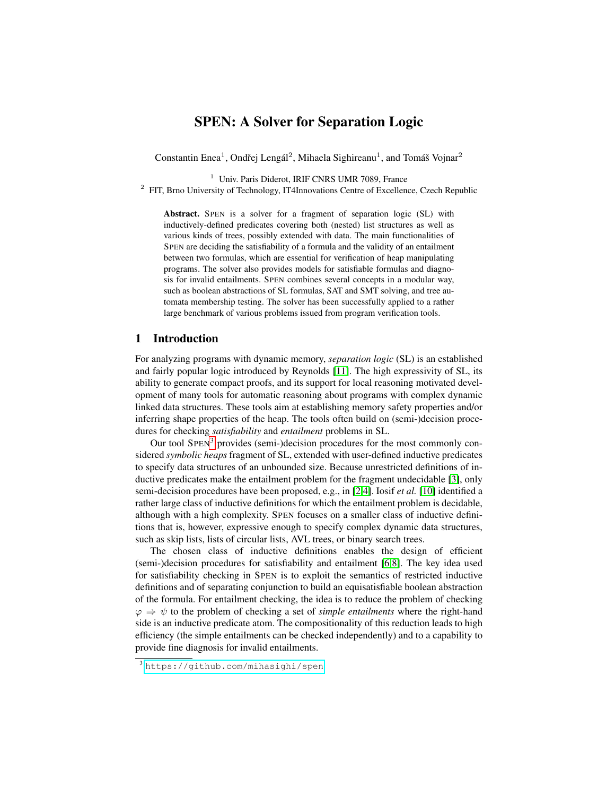# SPEN: A Solver for Separation Logic

Constantin Enea<sup>1</sup>, Ondřej Lengál<sup>2</sup>, Mihaela Sighireanu<sup>1</sup>, and Tomáš Vojnar<sup>2</sup>

<sup>1</sup> Univ. Paris Diderot, IRIF CNRS UMR 7089, France

<sup>2</sup> FIT, Brno University of Technology, IT4Innovations Centre of Excellence, Czech Republic

Abstract. SPEN is a solver for a fragment of separation logic (SL) with inductively-defined predicates covering both (nested) list structures as well as various kinds of trees, possibly extended with data. The main functionalities of SPEN are deciding the satisfiability of a formula and the validity of an entailment between two formulas, which are essential for verification of heap manipulating programs. The solver also provides models for satisfiable formulas and diagnosis for invalid entailments. SPEN combines several concepts in a modular way, such as boolean abstractions of SL formulas, SAT and SMT solving, and tree automata membership testing. The solver has been successfully applied to a rather large benchmark of various problems issued from program verification tools.

### 1 Introduction

For analyzing programs with dynamic memory, *separation logic* (SL) is an established and fairly popular logic introduced by Reynolds [\[11\]](#page-5-0). The high expressivity of SL, its ability to generate compact proofs, and its support for local reasoning motivated development of many tools for automatic reasoning about programs with complex dynamic linked data structures. These tools aim at establishing memory safety properties and/or inferring shape properties of the heap. The tools often build on (semi-)decision procedures for checking *satisfiability* and *entailment* problems in SL.

Our tool SPEN<sup>[3](#page-0-0)</sup> provides (semi-)decision procedures for the most commonly considered *symbolic heaps* fragment of SL, extended with user-defined inductive predicates to specify data structures of an unbounded size. Because unrestricted definitions of inductive predicates make the entailment problem for the fragment undecidable [\[3\]](#page-5-1), only semi-decision procedures have been proposed, e.g., in [\[2,](#page-5-2)[4\]](#page-5-3). Iosif *et al.* [\[10\]](#page-5-4) identified a rather large class of inductive definitions for which the entailment problem is decidable, although with a high complexity. SPEN focuses on a smaller class of inductive definitions that is, however, expressive enough to specify complex dynamic data structures, such as skip lists, lists of circular lists, AVL trees, or binary search trees.

The chosen class of inductive definitions enables the design of efficient (semi-)decision procedures for satisfiability and entailment [\[6](#page-5-5)[,8\]](#page-5-6). The key idea used for satisfiability checking in SPEN is to exploit the semantics of restricted inductive definitions and of separating conjunction to build an equisatisfiable boolean abstraction of the formula. For entailment checking, the idea is to reduce the problem of checking  $\varphi \Rightarrow \psi$  to the problem of checking a set of *simple entailments* where the right-hand side is an inductive predicate atom. The compositionality of this reduction leads to high efficiency (the simple entailments can be checked independently) and to a capability to provide fine diagnosis for invalid entailments.

<span id="page-0-0"></span><sup>3</sup> <https://github.com/mihasighi/spen>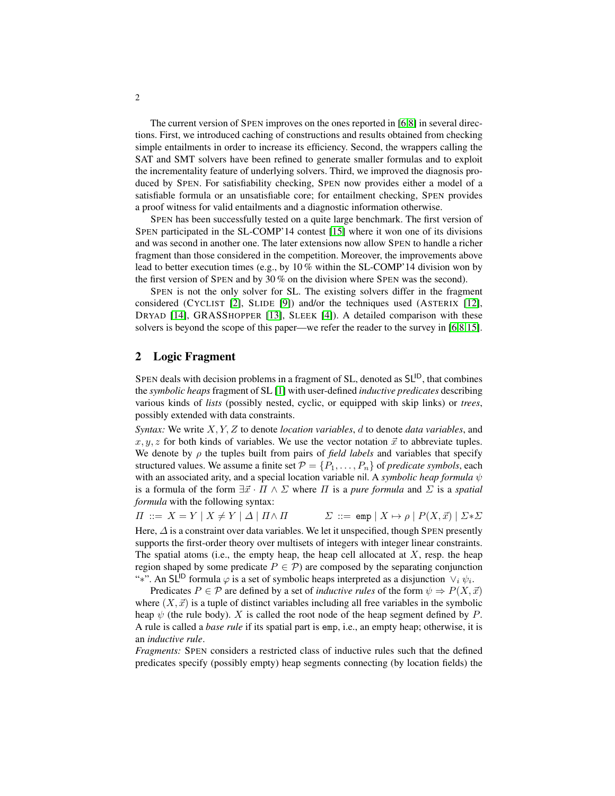The current version of SPEN improves on the ones reported in [\[6](#page-5-5)[,8\]](#page-5-6) in several directions. First, we introduced caching of constructions and results obtained from checking simple entailments in order to increase its efficiency. Second, the wrappers calling the SAT and SMT solvers have been refined to generate smaller formulas and to exploit the incrementality feature of underlying solvers. Third, we improved the diagnosis produced by SPEN. For satisfiability checking, SPEN now provides either a model of a satisfiable formula or an unsatisfiable core; for entailment checking, SPEN provides a proof witness for valid entailments and a diagnostic information otherwise.

SPEN has been successfully tested on a quite large benchmark. The first version of SPEN participated in the SL-COMP'14 contest [\[15\]](#page-5-7) where it won one of its divisions and was second in another one. The later extensions now allow SPEN to handle a richer fragment than those considered in the competition. Moreover, the improvements above lead to better execution times (e.g., by  $10\%$  within the SL-COMP'14 division won by the first version of SPEN and by 30 % on the division where SPEN was the second).

SPEN is not the only solver for SL. The existing solvers differ in the fragment considered (CYCLIST [\[2\]](#page-5-2), SLIDE [\[9\]](#page-5-8)) and/or the techniques used (ASTERIX [\[12\]](#page-5-9), DRYAD [\[14\]](#page-5-10), GRASSHOPPER [\[13\]](#page-5-11), SLEEK [\[4\]](#page-5-3)). A detailed comparison with these solvers is beyond the scope of this paper—we refer the reader to the survey in [\[6](#page-5-5)[,8](#page-5-6)[,15\]](#page-5-7).

## 2 Logic Fragment

SPEN deals with decision problems in a fragment of SL, denoted as  $SL^{1D}$ , that combines the *symbolic heaps* fragment of SL [\[1\]](#page-5-12) with user-defined *inductive predicates* describing various kinds of *lists* (possibly nested, cyclic, or equipped with skip links) or *trees*, possibly extended with data constraints.

*Syntax:* We write X, Y, Z to denote *location variables*, d to denote *data variables*, and  $x, y, z$  for both kinds of variables. We use the vector notation  $\vec{x}$  to abbreviate tuples. We denote by  $\rho$  the tuples built from pairs of *field labels* and variables that specify structured values. We assume a finite set  $\mathcal{P} = \{P_1, \ldots, P_n\}$  of *predicate symbols*, each with an associated arity, and a special location variable nil. A *symbolic heap formula* ψ is a formula of the form  $\exists \vec{x} \cdot \Pi \wedge \Sigma$  where  $\Pi$  is a *pure formula* and  $\Sigma$  is a *spatial formula* with the following syntax:

 $\Pi$  ::=  $X = Y | X \neq Y | \Delta | \Pi \wedge \Pi$   $\Sigma$  ::= emp  $| X \mapsto \rho | P(X, \vec{x}) | \Sigma^* \Sigma$ 

Here,  $\Delta$  is a constraint over data variables. We let it unspecified, though SPEN presently supports the first-order theory over multisets of integers with integer linear constraints. The spatial atoms (i.e., the empty heap, the heap cell allocated at  $X$ , resp. the heap region shaped by some predicate  $P \in \mathcal{P}$ ) are composed by the separating conjunction "\*". An SL<sup>ID</sup> formula  $\varphi$  is a set of symbolic heaps interpreted as a disjunction  $\vee_i \psi_i$ .

Predicates  $P \in \mathcal{P}$  are defined by a set of *inductive rules* of the form  $\psi \Rightarrow P(X, \vec{x})$ where  $(X, \vec{x})$  is a tuple of distinct variables including all free variables in the symbolic heap  $\psi$  (the rule body). X is called the root node of the heap segment defined by P. A rule is called a *base rule* if its spatial part is emp, i.e., an empty heap; otherwise, it is an *inductive rule*.

*Fragments:* SPEN considers a restricted class of inductive rules such that the defined predicates specify (possibly empty) heap segments connecting (by location fields) the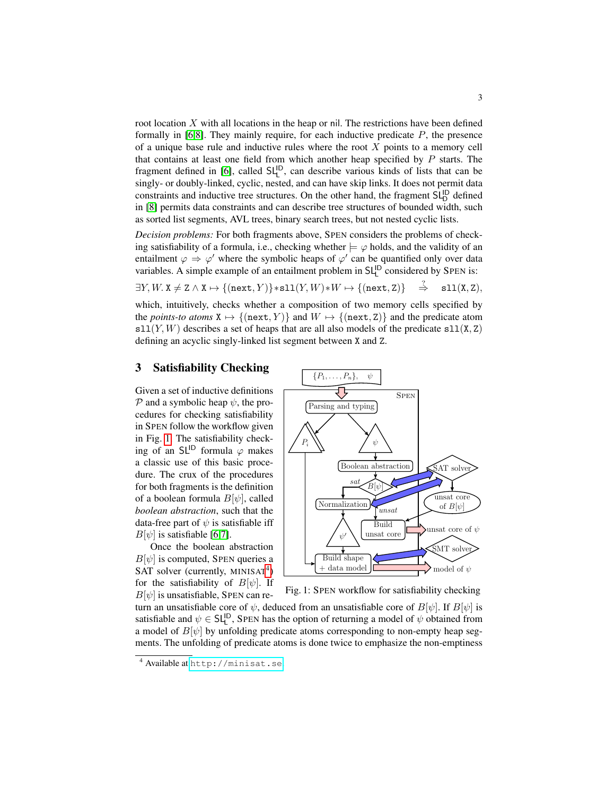root location  $X$  with all locations in the heap or nil. The restrictions have been defined formally in  $[6,8]$  $[6,8]$ . They mainly require, for each inductive predicate  $P$ , the presence of a unique base rule and inductive rules where the root  $X$  points to a memory cell that contains at least one field from which another heap specified by  $P$  starts. The fragment defined in [\[6\]](#page-5-5), called  $SL<sup>ID</sup>$ , can describe various kinds of lists that can be singly- or doubly-linked, cyclic, nested, and can have skip links. It does not permit data constraints and inductive tree structures. On the other hand, the fragment  $SL_0^{\text{ID}}$  defined in [\[8\]](#page-5-6) permits data constraints and can describe tree structures of bounded width, such as sorted list segments, AVL trees, binary search trees, but not nested cyclic lists.

*Decision problems:* For both fragments above, SPEN considers the problems of checking satisfiability of a formula, i.e., checking whether  $\models \varphi$  holds, and the validity of an entailment  $\varphi \Rightarrow \varphi'$  where the symbolic heaps of  $\varphi'$  can be quantified only over data variables. A simple example of an entailment problem in  $SL<sup>ID</sup>$  considered by SPEN is:

 $\exists Y, W. \ X \neq Z \land X \mapsto \{(\text{next}, Y)\} * \text{sl}(Y, W) * W \mapsto \{(\text{next}, Z)\}$  $\Rightarrow$  $sl1(X, Z)$ ,

which, intuitively, checks whether a composition of two memory cells specified by the *points-to atoms*  $X \mapsto \{(\texttt{next}, Y)\}\$ and  $W \mapsto \{(\texttt{next}, Z)\}\$ and the predicate atom  $s11(Y,W)$  describes a set of heaps that are all also models of the predicate  $s11(X, Z)$ defining an acyclic singly-linked list segment between X and Z.

# <span id="page-2-2"></span>3 Satisfiability Checking

Given a set of inductive definitions  $\mathcal P$  and a symbolic heap  $\psi$ , the procedures for checking satisfiability in SPEN follow the workflow given in Fig. [1.](#page-2-0) The satisfiability checking of an SL<sup>ID</sup> formula  $\varphi$  makes a classic use of this basic procedure. The crux of the procedures for both fragments is the definition of a boolean formula  $B[\psi]$ , called *boolean abstraction*, such that the data-free part of  $\psi$  is satisfiable iff  $B[\psi]$  is satisfiable [\[6](#page-5-5)[,7\]](#page-5-13).

Once the boolean abstraction  $B[\psi]$  is computed, SPEN queries a SAT solver (currently,  $MINISAT<sup>4</sup>$  $MINISAT<sup>4</sup>$  $MINISAT<sup>4</sup>$ ) for the satisfiability of  $B[\psi]$ . If  $B[\psi]$  is unsatisfiable, SPEN can re-

<span id="page-2-0"></span>

Fig. 1: SPEN workflow for satisfiability checking

turn an unsatisfiable core of  $\psi$ , deduced from an unsatisfiable core of  $B[\psi]$ . If  $B[\psi]$  is satisfiable and  $\psi \in SL_{L}^{\mathsf{ID}}$ , SPEN has the option of returning a model of  $\psi$  obtained from a model of  $B[\psi]$  by unfolding predicate atoms corresponding to non-empty heap segments. The unfolding of predicate atoms is done twice to emphasize the non-emptiness

<span id="page-2-1"></span><sup>4</sup> Available at <http://minisat.se>.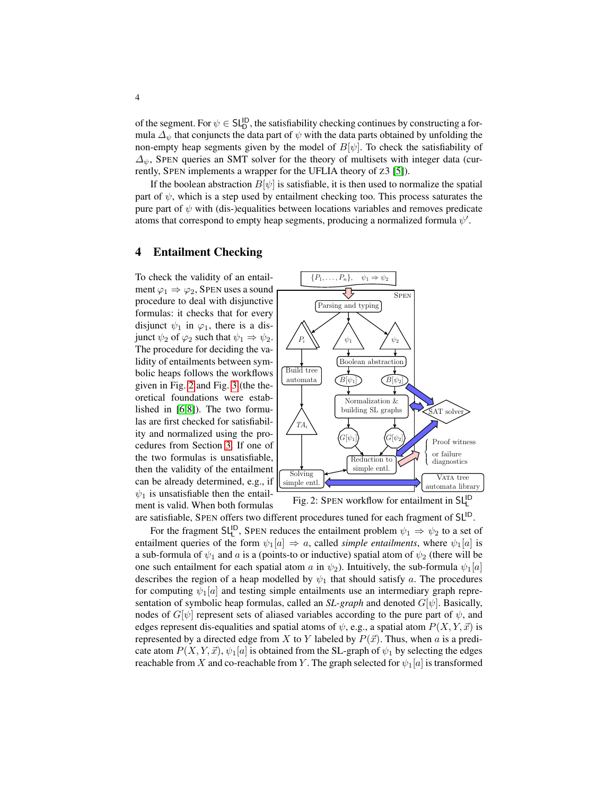of the segment. For  $\psi \in SL_D^{\text{ID}}$ , the satisfiability checking continues by constructing a formula  $\Delta_{\psi}$  that conjuncts the data part of  $\psi$  with the data parts obtained by unfolding the non-empty heap segments given by the model of  $B[\psi]$ . To check the satisfiability of  $\Delta_{\psi}$ , SPEN queries an SMT solver for the theory of multisets with integer data (currently, SPEN implements a wrapper for the UFLIA theory of Z3 [\[5\]](#page-5-14)).

If the boolean abstraction  $B[\psi]$  is satisfiable, it is then used to normalize the spatial part of  $\psi$ , which is a step used by entailment checking too. This process saturates the pure part of  $\psi$  with (dis-)equalities between locations variables and removes predicate atoms that correspond to empty heap segments, producing a normalized formula  $\psi'$ .

## 4 Entailment Checking

To check the validity of an entailment  $\varphi_1 \Rightarrow \varphi_2$ , SPEN uses a sound procedure to deal with disjunctive formulas: it checks that for every disjunct  $\psi_1$  in  $\varphi_1$ , there is a disjunct  $\psi_2$  of  $\varphi_2$  such that  $\psi_1 \Rightarrow \psi_2$ . The procedure for deciding the validity of entailments between symbolic heaps follows the workflows given in Fig. [2](#page-3-0) and Fig. [3](#page-4-0) (the theoretical foundations were established in [\[6](#page-5-5)[,8\]](#page-5-6)). The two formulas are first checked for satisfiability and normalized using the procedures from Section [3.](#page-2-2) If one of the two formulas is unsatisfiable, then the validity of the entailment can be already determined, e.g., if  $\psi_1$  is unsatisfiable then the entailment is valid. When both formulas

<span id="page-3-0"></span>

Fig. 2: SPEN workflow for entailment in SL<sup>ID</sup>

are satisfiable, SPEN offers two different procedures tuned for each fragment of SL<sup>ID</sup>.

For the fragment SL<sup>ID</sup>, SPEN reduces the entailment problem  $\psi_1 \Rightarrow \psi_2$  to a set of entailment queries of the form  $\psi_1[a] \Rightarrow a$ , called *simple entailments*, where  $\psi_1[a]$  is a sub-formula of  $\psi_1$  and a is a (points-to or inductive) spatial atom of  $\psi_2$  (there will be one such entailment for each spatial atom a in  $\psi_2$ ). Intuitively, the sub-formula  $\psi_1[a]$ describes the region of a heap modelled by  $\psi_1$  that should satisfy a. The procedures for computing  $\psi_1[a]$  and testing simple entailments use an intermediary graph representation of symbolic heap formulas, called an *SL-graph* and denoted  $G[\psi]$ . Basically, nodes of  $G[\psi]$  represent sets of aliased variables according to the pure part of  $\psi$ , and edges represent dis-equalities and spatial atoms of  $\psi$ , e.g., a spatial atom  $P(X, Y, \vec{x})$  is represented by a directed edge from X to Y labeled by  $P(\vec{x})$ . Thus, when a is a predicate atom  $P(X, Y, \vec{x})$ ,  $\psi_1[a]$  is obtained from the SL-graph of  $\psi_1$  by selecting the edges reachable from X and co-reachable from Y. The graph selected for  $\psi_1[a]$  is transformed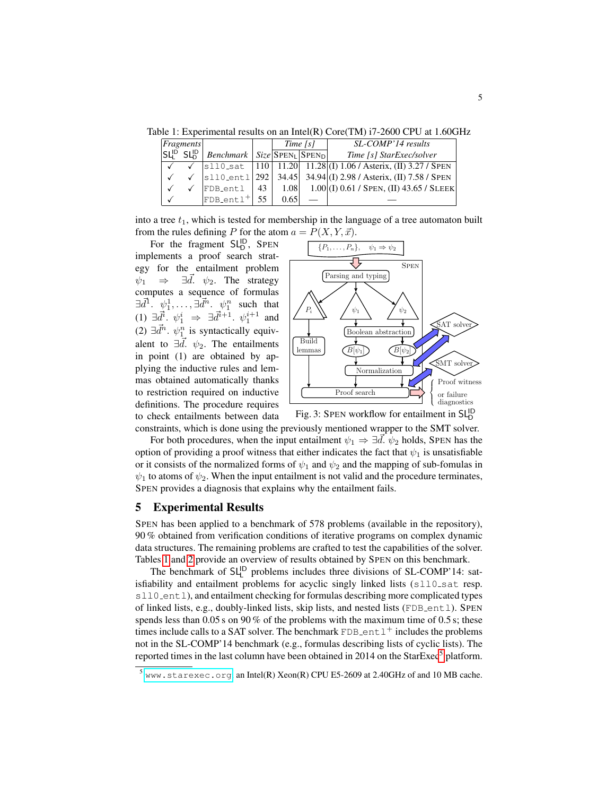<span id="page-4-1"></span>Table 1: Experimental results on an Intel(R) Core(TM) i7-2600 CPU at 1.60GHz

| $ F$ ragments |                        |                                          |    | Time [s] |  | SL-COMP'14 results                                                            |  |
|---------------|------------------------|------------------------------------------|----|----------|--|-------------------------------------------------------------------------------|--|
| $SL^{D}$      | <b>SL<sup>ID</sup></b> | <i>Benchmark</i>   $Size SPEN_1 SPEN_0 $ |    |          |  | Time [s] StarExec/solver                                                      |  |
|               |                        |                                          |    |          |  | $ s110 \text{ sat}  110  11.20  11.28   (I) 1.06$ / Asterix, (II) 3.27 / SPEN |  |
|               |                        | $ sl10_{ent1} 292 $                      |    |          |  | 34.45 34.94 (I) 2.98 / Asterix, (II) 7.58 / SPEN                              |  |
|               |                        | FDB_entl                                 | 43 | 1.08     |  | $1.00(1) 0.61 /$ Spen, (II) 43.65 / SLEEK                                     |  |
|               |                        | FDB_ent1 <sup>+</sup>                    | 55 | 0.65     |  |                                                                               |  |

into a tree  $t_1$ , which is tested for membership in the language of a tree automaton built from the rules defining P for the atom  $a = P(X, Y, \vec{x})$ .

For the fragment  $SL_{D}^{ID}$ , SPEN implements a proof search strategy for the entailment problem  $\psi_1 \Rightarrow \exists d. \psi_2$ . The strategy computes a sequence of formulas  $\exists \vec{d}^1 \cdot \psi_1^1, \ldots, \exists \vec{d}^n \cdot \psi_1^n$  such that (1) ∃ $\vec{d}^i$ .  $\psi_1^i$  ⇒ ∃ $\vec{d}^{i+1}$ .  $\psi_1^{i+1}$  and (2)  $\exists \vec{d}^n$ .  $\psi_{1}^n$  is syntactically equivalent to  $\exists \vec{d}$ .  $\psi_2$ . The entailments in point (1) are obtained by applying the inductive rules and lemmas obtained automatically thanks to restriction required on inductive definitions. The procedure requires to check entailments between data

<span id="page-4-0"></span>



constraints, which is done using the previously mentioned wrapper to the SMT solver. For both procedures, when the input entailment  $\psi_1 \Rightarrow \exists d. \psi_2$  holds, SPEN has the option of providing a proof witness that either indicates the fact that  $\psi_1$  is unsatisfiable or it consists of the normalized forms of  $\psi_1$  and  $\psi_2$  and the mapping of sub-fomulas in  $\psi_1$  to atoms of  $\psi_2$ . When the input entailment is not valid and the procedure terminates, SPEN provides a diagnosis that explains why the entailment fails.

#### 5 Experimental Results

SPEN has been applied to a benchmark of 578 problems (available in the repository), 90 % obtained from verification conditions of iterative programs on complex dynamic data structures. The remaining problems are crafted to test the capabilities of the solver. Tables [1](#page-4-1) and [2](#page-5-15) provide an overview of results obtained by SPEN on this benchmark.

The benchmark of  $SL<sup>ID</sup>$  problems includes three divisions of SL-COMP'14: satisfiability and entailment problems for acyclic singly linked lists (sll0\_sat resp. sll0\_entl), and entailment checking for formulas describing more complicated types of linked lists, e.g., doubly-linked lists, skip lists, and nested lists (FDB\_entl). SPEN spends less than 0.05 s on 90% of the problems with the maximum time of 0.5 s; these times include calls to a SAT solver. The benchmark  $FDB$  entl<sup>+</sup> includes the problems not in the SL-COMP'14 benchmark (e.g., formulas describing lists of cyclic lists). The reported times in the last column have been obtained in 2014 on the  $StarExec^5$  $StarExec^5$  platform.

<span id="page-4-2"></span> $^5$  <www.starexec.org>, an Intel(R) Xeon(R) CPU E5-2609 at 2.40GHz of and 10 MB cache.